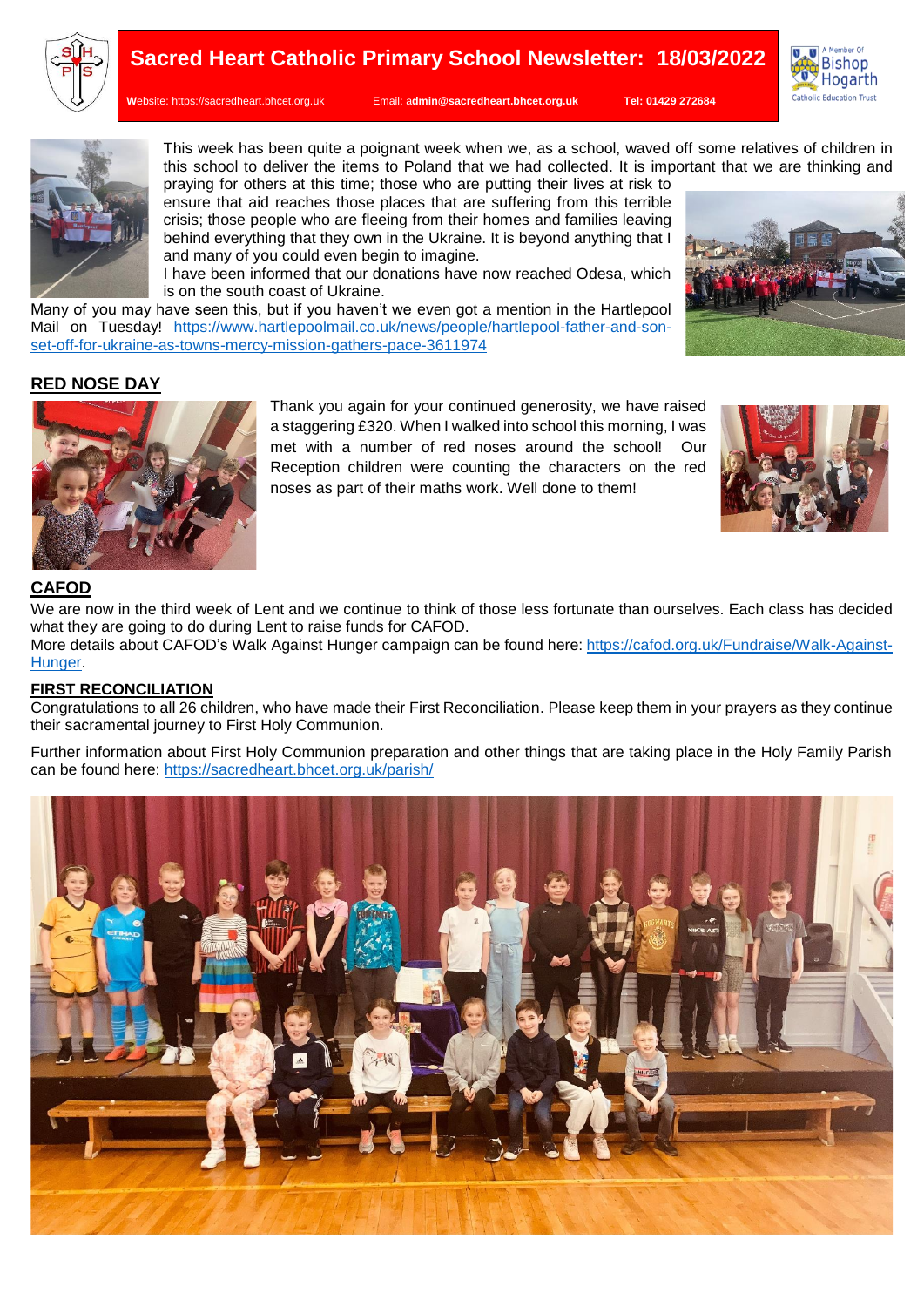



**W**ebsite: [https://sacredheart.bhcet.org.uk](https://sacredheart.bhcet.org.uk/) Email: a**[dmin@sacredheart.bhcet.org.uk](mailto:admin@sacredheart.bhcet.org.uk) Tel: 01429 272684**

This week has been quite a poignant week when we, as a school, waved off some relatives of children in this school to deliver the items to Poland that we had collected. It is important that we are thinking and praying for others at this time; those who are putting their lives at risk to

ensure that aid reaches those places that are suffering from this terrible crisis; those people who are fleeing from their homes and families leaving behind everything that they own in the Ukraine. It is beyond anything that I and many of you could even begin to imagine.

I have been informed that our donations have now reached Odesa, which is on the south coast of Ukraine.

Many of you may have seen this, but if you haven't we even got a mention in the Hartlepool Mail on Tuesday! [https://www.hartlepoolmail.co.uk/news/people/hartlepool-father-and-son](https://www.hartlepoolmail.co.uk/news/people/hartlepool-father-and-son-set-off-for-ukraine-as-towns-mercy-mission-gathers-pace-3611974)[set-off-for-ukraine-as-towns-mercy-mission-gathers-pace-3611974](https://www.hartlepoolmail.co.uk/news/people/hartlepool-father-and-son-set-off-for-ukraine-as-towns-mercy-mission-gathers-pace-3611974)

## **RED NOSE DAY**



Thank you again for your continued generosity, we have raised a staggering £320. When I walked into school this morning, I was met with a number of red noses around the school! Our Reception children were counting the characters on the red noses as part of their maths work. Well done to them!



# **CAFOD**

We are now in the third week of Lent and we continue to think of those less fortunate than ourselves. Each class has decided what they are going to do during Lent to raise funds for CAFOD.

More details about CAFOD's Walk Against Hunger campaign can be found here: [https://cafod.org.uk/Fundraise/Walk-Against-](https://cafod.org.uk/Fundraise/Walk-Against-Hunger)[Hunger.](https://cafod.org.uk/Fundraise/Walk-Against-Hunger)

#### **FIRST RECONCILIATION**

Congratulations to all 26 children, who have made their First Reconciliation. Please keep them in your prayers as they continue their sacramental journey to First Holy Communion.

Further information about First Holy Communion preparation and other things that are taking place in the Holy Family Parish can be found here:<https://sacredheart.bhcet.org.uk/parish/>

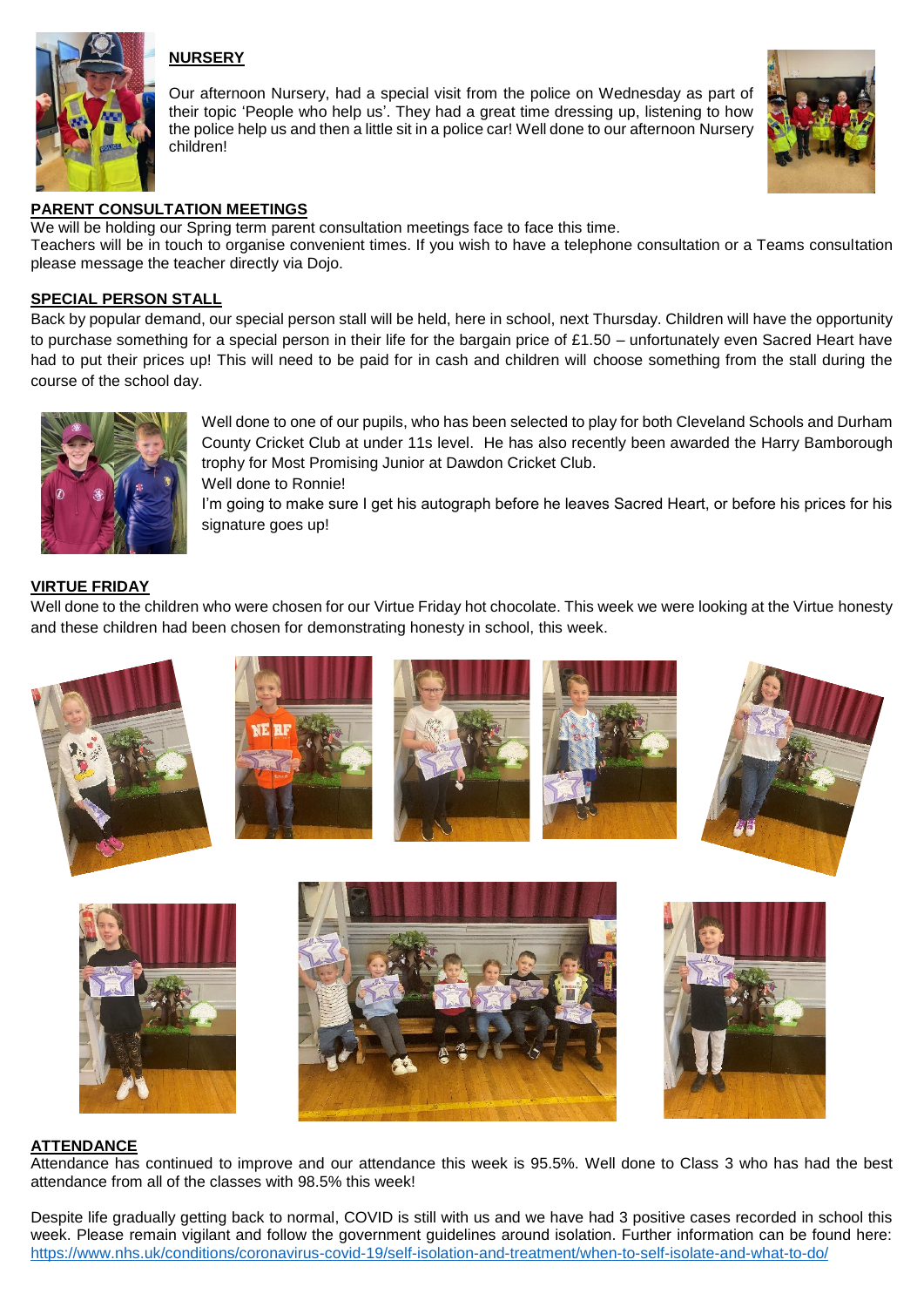

# **NURSERY**

Our afternoon Nursery, had a special visit from the police on Wednesday as part of their topic 'People who help us'. They had a great time dressing up, listening to how the police help us and then a little sit in a police car! Well done to our afternoon Nursery children!



### **PARENT CONSULTATION MEETINGS**

We will be holding our Spring term parent consultation meetings face to face this time.

Teachers will be in touch to organise convenient times. If you wish to have a telephone consultation or a Teams consultation please message the teacher directly via Dojo.

## **SPECIAL PERSON STALL**

Back by popular demand, our special person stall will be held, here in school, next Thursday. Children will have the opportunity to purchase something for a special person in their life for the bargain price of £1.50 – unfortunately even Sacred Heart have had to put their prices up! This will need to be paid for in cash and children will choose something from the stall during the course of the school day.



Well done to one of our pupils, who has been selected to play for both Cleveland Schools and Durham County Cricket Club at under 11s level. He has also recently been awarded the Harry Bamborough trophy for Most Promising Junior at Dawdon Cricket Club. Well done to Ronnie!

I'm going to make sure I get his autograph before he leaves Sacred Heart, or before his prices for his signature goes up!

#### **VIRTUE FRIDAY**

Well done to the children who were chosen for our Virtue Friday hot chocolate. This week we were looking at the Virtue honesty and these children had been chosen for demonstrating honesty in school, this week.



#### **ATTENDANCE**

Attendance has continued to improve and our attendance this week is 95.5%. Well done to Class 3 who has had the best attendance from all of the classes with 98.5% this week!

Despite life gradually getting back to normal, COVID is still with us and we have had 3 positive cases recorded in school this week. Please remain vigilant and follow the government guidelines around isolation. Further information can be found here: <https://www.nhs.uk/conditions/coronavirus-covid-19/self-isolation-and-treatment/when-to-self-isolate-and-what-to-do/>